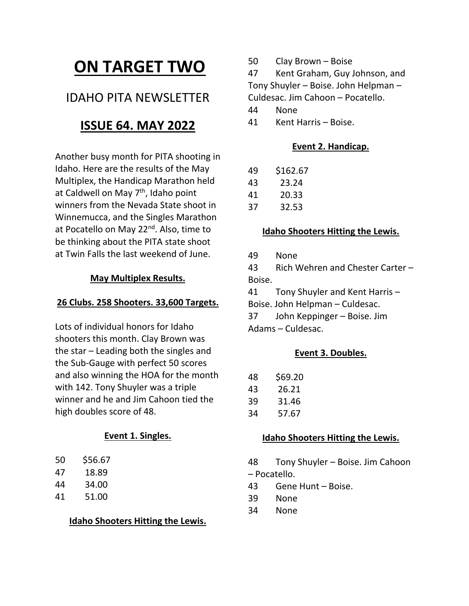# **ON TARGET TWO**

# IDAHO PITA NEWSLETTER

# **ISSUE 64. MAY 2022**

Another busy month for PITA shooting in Idaho. Here are the results of the May Multiplex, the Handicap Marathon held at Caldwell on May  $7<sup>th</sup>$ , Idaho point winners from the Nevada State shoot in Winnemucca, and the Singles Marathon at Pocatello on May 22<sup>nd</sup>. Also, time to be thinking about the PITA state shoot at Twin Falls the last weekend of June.

#### **May Multiplex Results.**

### **26 Clubs. 258 Shooters. 33,600 Targets.**

Lots of individual honors for Idaho shooters this month. Clay Brown was the star – Leading both the singles and the Sub‐Gauge with perfect 50 scores and also winning the HOA for the month with 142. Tony Shuyler was a triple winner and he and Jim Cahoon tied the high doubles score of 48.

# **Event 1. Singles.**

- 50 \$56.67
- 47 18.89
- 44 34.00
- 41 51.00

# **Idaho Shooters Hitting the Lewis.**

50 Clay Brown – Boise

47 Kent Graham, Guy Johnson, and Tony Shuyler – Boise. John Helpman –

Culdesac. Jim Cahoon – Pocatello.

- 44 None
- 41 Kent Harris Boise.

### **Event 2. Handicap.**

| 49 | \$162.67 |
|----|----------|
|    |          |

- 43 23.24
- 41 20.33
- 37 32.53

#### **Idaho Shooters Hitting the Lewis.**

49 None

43 Rich Wehren and Chester Carter – Boise.

41 Tony Shuyler and Kent Harris –

Boise. John Helpman – Culdesac.

37 John Keppinger – Boise. Jim Adams – Culdesac.

# **Event 3. Doubles.**

| 48 | \$69.20 |
|----|---------|
| 43 | 26.21   |
| 39 | 31.46   |
| 34 | 57.67   |

#### **Idaho Shooters Hitting the Lewis.**

48 Tony Shuyler – Boise. Jim Cahoon – Pocatello.

- 43 Gene Hunt Boise.
- 39 None
- 34 None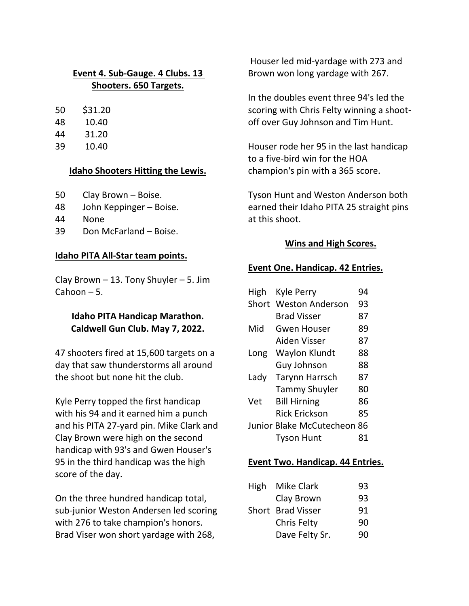# **Event 4. Sub‐Gauge. 4 Clubs. 13 Shooters. 650 Targets.**

- 50 \$31.20
- 48 10.40
- 44 31.20
- 39 10.40

# **Idaho Shooters Hitting the Lewis.**

- 50 Clay Brown Boise.
- 48 John Keppinger Boise.
- 44 None
- 39 Don McFarland Boise.

# **Idaho PITA All‐Star team points.**

Clay Brown  $-13$ . Tony Shuyler  $-5$ . Jim Cahoon – 5.

# **Idaho PITA Handicap Marathon. Caldwell Gun Club. May 7, 2022.**

47 shooters fired at 15,600 targets on a day that saw thunderstorms all around the shoot but none hit the club.

Kyle Perry topped the first handicap with his 94 and it earned him a punch and his PITA 27‐yard pin. Mike Clark and Clay Brown were high on the second handicap with 93's and Gwen Houser's 95 in the third handicap was the high score of the day.

On the three hundred handicap total, sub‐junior Weston Andersen led scoring with 276 to take champion's honors. Brad Viser won short yardage with 268,

Houser led mid‐yardage with 273 and Brown won long yardage with 267.

In the doubles event three 94's led the scoring with Chris Felty winning a shoot‐ off over Guy Johnson and Tim Hunt.

Houser rode her 95 in the last handicap to a five‐bird win for the HOA champion's pin with a 365 score.

Tyson Hunt and Weston Anderson both earned their Idaho PITA 25 straight pins at this shoot.

# **Wins and High Scores.**

# **Event One. Handicap. 42 Entries.**

| High  | Kyle Perry                  | 94 |
|-------|-----------------------------|----|
| Short | <b>Weston Anderson</b>      | 93 |
|       | <b>Brad Visser</b>          | 87 |
| Mid   | Gwen Houser                 | 89 |
|       | Aiden Visser                | 87 |
| Long  | Waylon Klundt               | 88 |
|       | Guy Johnson                 | 88 |
| Lady  | <b>Tarynn Harrsch</b>       | 87 |
|       | <b>Tammy Shuyler</b>        | 80 |
| Vet   | <b>Bill Hirning</b>         | 86 |
|       | <b>Rick Erickson</b>        | 85 |
|       | Junior Blake McCutecheon 86 |    |
|       | <b>Tyson Hunt</b>           | 81 |

# **Event Two. Handicap. 44 Entries.**

| High Mike Clark   | 93 |
|-------------------|----|
| Clay Brown        | 93 |
| Short Brad Visser | 91 |
| Chris Felty       | 90 |
| Dave Felty Sr.    | 90 |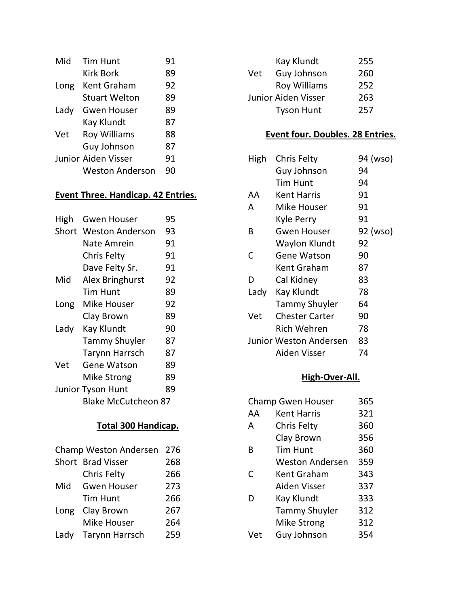| Mid  | <b>Tim Hunt</b>            | 91 |
|------|----------------------------|----|
|      | <b>Kirk Bork</b>           | 89 |
| Long | Kent Graham                | 92 |
|      | <b>Stuart Welton</b>       | 89 |
| Lady | <b>Gwen Houser</b>         | 89 |
|      | Kay Klundt                 | 87 |
| Vet  | <b>Roy Williams</b>        | 88 |
|      | Guy Johnson                | 87 |
|      | <b>Junior Aiden Visser</b> | 91 |
|      | <b>Weston Anderson</b>     |    |

# **Event Three. Handicap. 42 Entries.**

| High  | <b>Gwen Houser</b>       | 95 |
|-------|--------------------------|----|
| Short | <b>Weston Anderson</b>   | 93 |
|       | Nate Amrein              | 91 |
|       | <b>Chris Felty</b>       | 91 |
|       | Dave Felty Sr.           | 91 |
| Mid   | Alex Bringhurst          | 92 |
|       | <b>Tim Hunt</b>          | 89 |
| Long  | <b>Mike Houser</b>       | 92 |
|       | Clay Brown               | 89 |
| Lady  | Kay Klundt               | 90 |
|       | <b>Tammy Shuyler</b>     | 87 |
|       | <b>Tarynn Harrsch</b>    | 87 |
| Vet   | Gene Watson              | 89 |
|       | Mike Strong              | 89 |
|       | <b>Junior Tyson Hunt</b> | 89 |
|       | Blake McCutcheon 87      |    |

# **Total 300 Handicap.**

| Champ Weston Andersen |                     | 276 |
|-----------------------|---------------------|-----|
|                       | Short Brad Visser   | 268 |
|                       | <b>Chris Felty</b>  | 266 |
| Mid                   | <b>Gwen Houser</b>  | 273 |
|                       | <b>Tim Hunt</b>     | 266 |
| Long                  | Clay Brown          | 267 |
|                       | <b>Mike Houser</b>  | 264 |
|                       | Lady Tarynn Harrsch | 259 |

|     | Kay Klundt                 | 255 |
|-----|----------------------------|-----|
| Vet | Guy Johnson                | 260 |
|     | <b>Roy Williams</b>        | 252 |
|     | <b>Junior Aiden Visser</b> | 263 |
|     | <b>Tyson Hunt</b>          | 257 |

# **Event four. Doubles. 28 Entries.**

| High | <b>Chris Felty</b>            | 94 (wso) |
|------|-------------------------------|----------|
|      | Guy Johnson                   | 94       |
|      | Tim Hunt                      | 94       |
| AA   | Kent Harris                   | 91       |
| А    | Mike Houser                   | 91       |
|      | Kyle Perry                    | 91       |
| В    | Gwen Houser                   | 92 (wso) |
|      | Waylon Klundt                 | 92       |
| C    | <b>Gene Watson</b>            | 90       |
|      | Kent Graham                   | 87       |
| D    | Cal Kidney                    | 83       |
| Lady | Kay Klundt                    | 78       |
|      | <b>Tammy Shuyler</b>          | 64       |
| Vet  | <b>Chester Carter</b>         | 90       |
|      | Rich Wehren                   | 78       |
|      | <b>Junior Weston Andersen</b> | 83       |
|      | Aiden Visser                  | 74       |
|      |                               |          |

# **High‐Over‐All.**

| <b>Champ Gwen Houser</b> |                        | 365 |
|--------------------------|------------------------|-----|
| AA                       | <b>Kent Harris</b>     | 321 |
| A                        | Chris Felty            | 360 |
|                          | Clay Brown             | 356 |
| B                        | <b>Tim Hunt</b>        | 360 |
|                          | <b>Weston Andersen</b> | 359 |
| C                        | <b>Kent Graham</b>     | 343 |
|                          | Aiden Visser           | 337 |
| D                        | Kay Klundt             | 333 |
|                          | <b>Tammy Shuyler</b>   | 312 |
|                          | <b>Mike Strong</b>     | 312 |
| Vet                      | Guy Johnson            | 354 |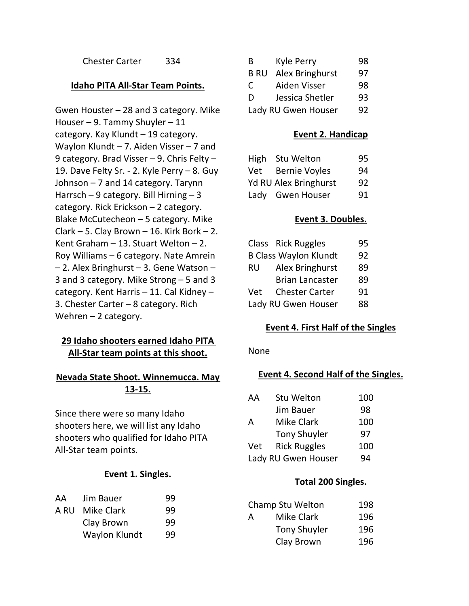Chester Carter 334

#### **Idaho PITA All‐Star Team Points.**

Gwen Houster – 28 and 3 category. Mike Houser – 9. Tammy Shuyler – 11 category. Kay Klundt – 19 category. Waylon Klundt – 7. Aiden Visser – 7 and 9 category. Brad Visser – 9. Chris Felty – 19. Dave Felty Sr. ‐ 2. Kyle Perry – 8. Guy Johnson – 7 and 14 category. Tarynn Harrsch – 9 category. Bill Hirning – 3 category. Rick Erickson – 2 category. Blake McCutecheon – 5 category. Mike Clark – 5. Clay Brown – 16. Kirk Bork – 2. Kent Graham – 13. Stuart Welton – 2. Roy Williams – 6 category. Nate Amrein – 2. Alex Bringhurst – 3. Gene Watson – 3 and 3 category. Mike Strong – 5 and 3 category. Kent Harris – 11. Cal Kidney – 3. Chester Carter – 8 category. Rich Wehren  $-2$  category.

# **29 Idaho shooters earned Idaho PITA All‐Star team points at this shoot.**

#### **Nevada State Shoot. Winnemucca. May 13‐15.**

Since there were so many Idaho shooters here, we will list any Idaho shooters who qualified for Idaho PITA All‐Star team points.

#### **Event 1. Singles.**

| 99 |
|----|
| 99 |
| 99 |
|    |

| B                   | Kyle Perry      | 98 |
|---------------------|-----------------|----|
| <b>B RU</b>         | Alex Bringhurst | 97 |
| C                   | Aiden Visser    | 98 |
| D                   | Jessica Shetler | 93 |
| Lady RU Gwen Houser |                 | 92 |

#### **Event 2. Handicap**

| High | <b>Stu Welton</b>            | 95 |
|------|------------------------------|----|
| Vet  | <b>Bernie Voyles</b>         | 94 |
|      | <b>Yd RU Alex Bringhurst</b> | 92 |
|      | Lady Gwen Houser             | 91 |

#### **Event 3. Doubles.**

|     | Class Rick Ruggles           | 95 |
|-----|------------------------------|----|
|     | <b>B Class Waylon Klundt</b> | 92 |
| RU  | Alex Bringhurst              | 89 |
|     | <b>Brian Lancaster</b>       | 89 |
| Vet | <b>Chester Carter</b>        | 91 |
|     | Lady RU Gwen Houser          | 88 |

#### **Event 4. First Half of the Singles**

#### None

#### **Event 4. Second Half of the Singles.**

| AA                  | Stu Welton          | 100 |
|---------------------|---------------------|-----|
|                     | Jim Bauer           | 98  |
| A                   | <b>Mike Clark</b>   | 100 |
|                     | <b>Tony Shuyler</b> | 97  |
| Vet                 | <b>Rick Ruggles</b> | 100 |
| Lady RU Gwen Houser |                     | 94  |

#### **Total 200 Singles.**

| Champ Stu Welton |                     | 198 |
|------------------|---------------------|-----|
| А                | Mike Clark          | 196 |
|                  | <b>Tony Shuyler</b> | 196 |
|                  | Clay Brown          | 196 |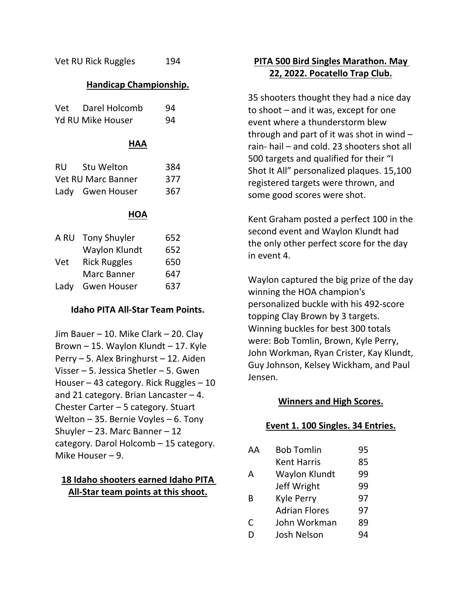Vet RU Rick Ruggles 194

#### **Handicap Championship.**

| HAA                      |    |
|--------------------------|----|
| <b>Yd RU Mike Houser</b> | 94 |
| Vet Darel Holcomb        | 94 |

| <b>RU</b>                 | Stu Welton       | 384 |
|---------------------------|------------------|-----|
| <b>Vet RU Marc Banner</b> |                  | 377 |
|                           | Lady Gwen Houser | 367 |

#### **HOA**

| A RU | <b>Tony Shuyler</b> | 652 |
|------|---------------------|-----|
|      | Waylon Klundt       | 652 |
| Vet  | <b>Rick Ruggles</b> | 650 |
|      | Marc Banner         | 647 |
| Lady | <b>Gwen Houser</b>  | 637 |

#### **Idaho PITA All‐Star Team Points.**

Jim Bauer – 10. Mike Clark – 20. Clay Brown – 15. Waylon Klundt – 17. Kyle Perry – 5. Alex Bringhurst – 12. Aiden Visser – 5. Jessica Shetler – 5. Gwen Houser – 43 category. Rick Ruggles – 10 and 21 category. Brian Lancaster  $-4$ . Chester Carter – 5 category. Stuart Welton – 35. Bernie Voyles – 6. Tony Shuyler – 23. Marc Banner – 12 category. Darol Holcomb – 15 category. Mike Houser – 9.

#### **18 Idaho shooters earned Idaho PITA All‐Star team points at this shoot.**

# **PITA 500 Bird Singles Marathon. May 22, 2022. Pocatello Trap Club.**

35 shooters thought they had a nice day to shoot – and it was, except for one event where a thunderstorm blew through and part of it was shot in wind – rain‐ hail – and cold. 23 shooters shot all 500 targets and qualified for their "I Shot It All" personalized plaques. 15,100 registered targets were thrown, and some good scores were shot.

Kent Graham posted a perfect 100 in the second event and Waylon Klundt had the only other perfect score for the day in event 4.

Waylon captured the big prize of the day winning the HOA champion's personalized buckle with his 492‐score topping Clay Brown by 3 targets. Winning buckles for best 300 totals were: Bob Tomlin, Brown, Kyle Perry, John Workman, Ryan Crister, Kay Klundt, Guy Johnson, Kelsey Wickham, and Paul Jensen.

#### **Winners and High Scores.**

#### **Event 1. 100 Singles. 34 Entries.**

| AА | <b>Bob Tomlin</b>    | 95 |
|----|----------------------|----|
|    | <b>Kent Harris</b>   | 85 |
| А  | <b>Waylon Klundt</b> | 99 |
|    | Jeff Wright          | 99 |
| В  | <b>Kyle Perry</b>    | 97 |
|    | <b>Adrian Flores</b> | 97 |
| С  | John Workman         | 89 |
|    | <b>Josh Nelson</b>   | 94 |
|    |                      |    |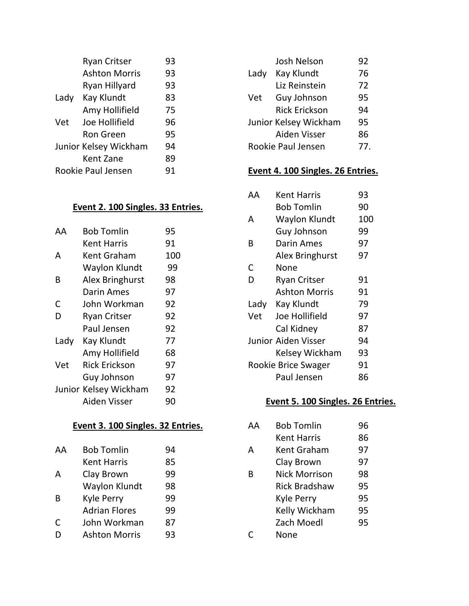|                       | <b>Ryan Critser</b>  | 93 |
|-----------------------|----------------------|----|
|                       | <b>Ashton Morris</b> | 93 |
|                       | <b>Ryan Hillyard</b> | 93 |
| Lady                  | Kay Klundt           | 83 |
|                       | Amy Hollifield       | 75 |
| Vet                   | Joe Hollifield       | 96 |
|                       | Ron Green            | 95 |
| Junior Kelsey Wickham |                      | 94 |
|                       | Kent Zane            | 89 |
| Rookie Paul Jensen    |                      | 91 |

#### **Event 2. 100 Singles. 33 Entries.**

| ΔД   | Bob Tomlin            | 95  |
|------|-----------------------|-----|
|      | Kent Harris           | 91  |
| А    | Kent Graham           | 100 |
|      | Waylon Klundt         | 99  |
| B    | Alex Bringhurst       | 98  |
|      | Darin Ames            | 97  |
| С    | John Workman          | 92  |
| D    | <b>Ryan Critser</b>   | 92  |
|      | Paul Jensen           | 92  |
| Lady | Kay Klundt            | 77  |
|      | Amy Hollifield        | 68  |
| Vet  | Rick Erickson         | 97  |
|      | Guy Johnson           | 97  |
|      | Junior Kelsey Wickham | 92  |
|      | Aiden Visser          | 90  |
|      |                       |     |

# **Event 3. 100 Singles. 32 Entries.**

| AΑ | <b>Bob Tomlin</b>    | 94 |
|----|----------------------|----|
|    | <b>Kent Harris</b>   | 85 |
| A  | Clay Brown           | 99 |
|    | Waylon Klundt        | 98 |
| B  | Kyle Perry           | 99 |
|    | <b>Adrian Flores</b> | 99 |
| C  | John Workman         | 87 |
| D  | <b>Ashton Morris</b> | 93 |
|    |                      |    |

|      | <b>Josh Nelson</b>    | 92  |
|------|-----------------------|-----|
| Lady | Kay Klundt            | 76  |
|      | Liz Reinstein         | 72  |
| Vet  | Guy Johnson           | 95  |
|      | <b>Rick Erickson</b>  | 94  |
|      | Junior Kelsey Wickham | 95  |
|      | Aiden Visser          | 86  |
|      | Rookie Paul Jensen    | 77. |
|      |                       |     |

# **Event 4. 100 Singles. 26 Entries.**

| AΑ   | Kent Harris         | 93  |
|------|---------------------|-----|
|      | <b>Bob Tomlin</b>   | 90  |
| А    | Waylon Klundt       | 100 |
|      | Guy Johnson         | 99  |
| В    | Darin Ames          | 97  |
|      | Alex Bringhurst     | 97  |
| C    | None                |     |
| D    | <b>Ryan Critser</b> | 91  |
|      | Ashton Morris       | 91  |
| Lady | Kay Klundt          | 79  |
| Vet  | Joe Hollifield      | 97  |
|      | Cal Kidney          | 87  |
|      | Junior Aiden Visser | 94  |
|      | Kelsey Wickham      | 93  |
|      | Rookie Brice Swager | 91  |
|      | Paul Jensen         | 86  |

# **Event 5. 100 Singles. 26 Entries.**

| AА | <b>Bob Tomlin</b>    | 96 |
|----|----------------------|----|
|    | <b>Kent Harris</b>   | 86 |
| А  | Kent Graham          | 97 |
|    | Clay Brown           | 97 |
| R  | <b>Nick Morrison</b> | 98 |
|    | <b>Rick Bradshaw</b> | 95 |
|    | Kyle Perry           | 95 |
|    | Kelly Wickham        | 95 |
|    | Zach Moedl           | 95 |
|    | None                 |    |